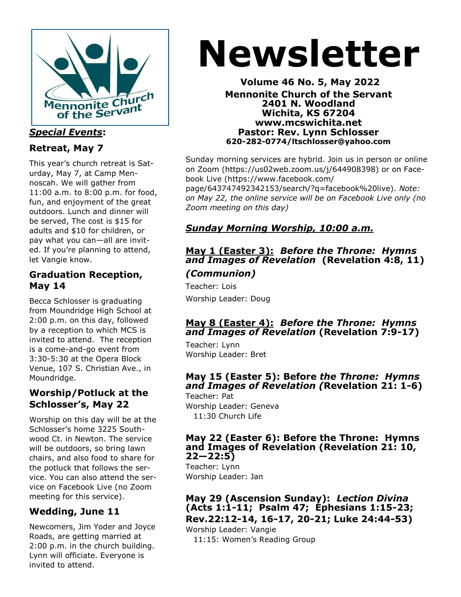

## *Special Events***:**

# **Retreat, May 7**

This year's church retreat is Saturday, May 7, at Camp Mennoscah. We will gather from 11:00 a.m. to 8:00 p.m. for food, fun, and enjoyment of the great outdoors. Lunch and dinner will be served, The cost is \$15 for adults and \$10 for children, or pay what you can—all are invited. If you're planning to attend, let Vangie know.

# **Graduation Reception, May 14**

Becca Schlosser is graduating from Moundridge High School at 2:00 p.m. on this day, followed by a reception to which MCS is invited to attend. The reception is a come-and-go event from 3:30-5:30 at the Opera Block Venue, 107 S. Christian Ave., in Moundridge.

## **Worship/Potluck at the Schlosser's, May 22**

Worship on this day will be at the Schlosser's home 3225 Southwood Ct. in Newton. The service will be outdoors, so bring lawn chairs, and also food to share for the potluck that follows the service. You can also attend the service on Facebook Live (no Zoom meeting for this service).

# **Wedding, June 11**

Newcomers, Jim Yoder and Joyce Roads, are getting married at 2:00 p.m. in the church building. Lynn will officiate. Everyone is invited to attend.

# **Newsletter**

#### **Volume 46 No. 5, May 2022 Mennonite Church of the Servant 2401 N. Woodland Wichita, KS 67204 www.mcswichita.net Pastor: Rev. Lynn Schlosser 620-282-0774/ltschlosser@yahoo.com**

Sunday morning services are hybrid. Join us in person or online on Zoom (https://us02web.zoom.us/j/644908398) or on Facebook Live (https://www.facebook.com/ page/643747492342153/search/?q=facebook%20live). *Note: on May 22, the online service will be on Facebook Live only (no Zoom meeting on this day)* 

# *Sunday Morning Worship, 10:00 a.m.*

## **May 1 (Easter 3):** *Before the Throne:**Hymns and Images of Revelation* **(Revelation 4:8, 11)** *(Communion)*

Teacher: Lois Worship Leader: Doug

#### **May 8 (Easter 4):** *Before the Throne: Hymns and Images of Revelation* **(Revelation 7:9-17)**

Teacher: Lynn Worship Leader: Bret

# **May 15 (Easter 5): Before** *the Throne: Hymns and Images of Revelation (***Revelation 21: 1-6)**

Teacher: Pat Worship Leader: Geneva 11:30 Church Life

#### **May 22 (Easter 6): Before the Throne: Hymns and Images of Revelation (Revelation 21: 10, 22—22:5)**

Teacher: Lynn Worship Leader: Jan

**May 29 (Ascension Sunday):** *Lection Divina*  **(Acts 1:1-11; Psalm 47; Ephesians 1:15-23; Rev.22:12-14, 16-17, 20-21; Luke 24:44-53)**

Worship Leader: Vangie

11:15: Women's Reading Group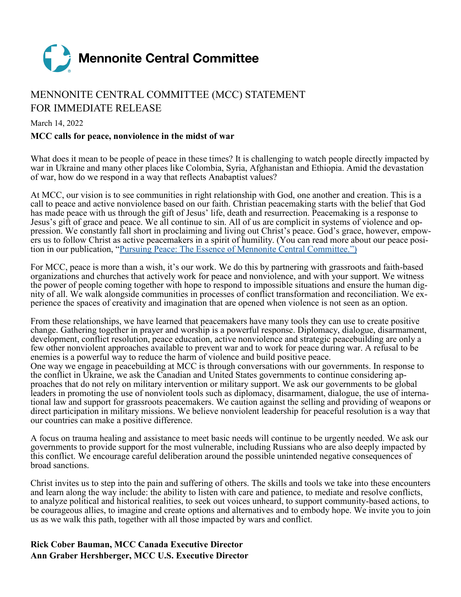

# MENNONITE CENTRAL COMMITTEE (MCC) STATEMENT FOR IMMEDIATE RELEASE

#### March 14, 2022

#### **MCC calls for peace, nonviolence in the midst of war**

What does it mean to be people of peace in these times? It is challenging to watch people directly impacted by war in Ukraine and many other places like Colombia, Syria, Afghanistan and Ethiopia. Amid the devastation of war, how do we respond in a way that reflects Anabaptist values?

At MCC, our vision is to see communities in right relationship with God, one another and creation. This is a call to peace and active nonviolence based on our faith. Christian peacemaking starts with the belief that God has made peace with us through the gift of Jesus' life, death and resurrection. Peacemaking is a response to Jesus's gift of grace and peace. We all continue to sin. All of us are complicit in systems of violence and oppression. We constantly fall short in proclaiming and living out Christ's peace. God's grace, however, empowers us to follow Christ as active peacemakers in a spirit of humility. (You can read more about our peace position in our publication, "[Pursuing Peace: The Essence of Mennonite Central Committee.](https://mcc.org/sites/mcccanada.ca/files/media/common/documents/pursuingpeacetheessenceofmennonitecentralcommittee1.pdf)")

For MCC, peace is more than a wish, it's our work. We do this by partnering with grassroots and faith-based organizations and churches that actively work for peace and nonviolence, and with your support. We witness the power of people coming together with hope to respond to impossible situations and ensure the human dignity of all. We walk alongside communities in processes of conflict transformation and reconciliation. We experience the spaces of creativity and imagination that are opened when violence is not seen as an option.

From these relationships, we have learned that peacemakers have many tools they can use to create positive change. Gathering together in prayer and worship is a powerful response. Diplomacy, dialogue, disarmament, development, conflict resolution, peace education, active nonviolence and strategic peacebuilding are only a few other nonviolent approaches available to prevent war and to work for peace during war. A refusal to be enemies is a powerful way to reduce the harm of violence and build positive peace.

One way we engage in peacebuilding at MCC is through conversations with our governments. In response to the conflict in Ukraine, we ask the Canadian and United States governments to continue considering approaches that do not rely on military intervention or military support. We ask our governments to be global leaders in promoting the use of nonviolent tools such as diplomacy, disarmament, dialogue, the use of international law and support for grassroots peacemakers. We caution against the selling and providing of weapons or direct participation in military missions. We believe nonviolent leadership for peaceful resolution is a way that our countries can make a positive difference.

A focus on trauma healing and assistance to meet basic needs will continue to be urgently needed. We ask our governments to provide support for the most vulnerable, including Russians who are also deeply impacted by this conflict. We encourage careful deliberation around the possible unintended negative consequences of broad sanctions.

Christ invites us to step into the pain and suffering of others. The skills and tools we take into these encounters and learn along the way include: the ability to listen with care and patience, to mediate and resolve conflicts, to analyze political and historical realities, to seek out voices unheard, to support community-based actions, to be courageous allies, to imagine and create options and alternatives and to embody hope. We invite you to join us as we walk this path, together with all those impacted by wars and conflict.

#### **Rick Cober Bauman, MCC Canada Executive Director Ann Graber Hershberger, MCC U.S. Executive Director**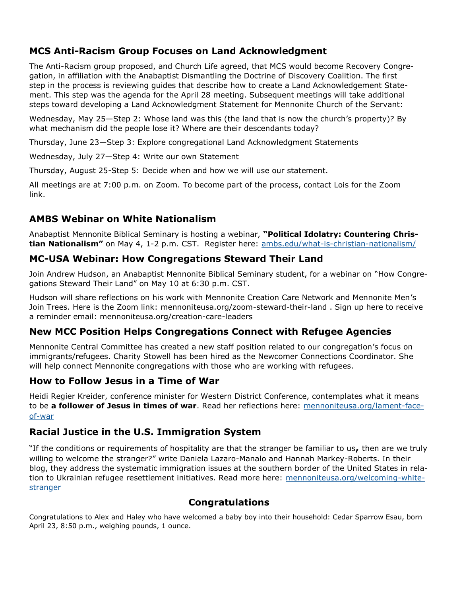# **MCS Anti-Racism Group Focuses on Land Acknowledgment**

The Anti-Racism group proposed, and Church Life agreed, that MCS would become Recovery Congregation, in affiliation with the Anabaptist Dismantling the Doctrine of Discovery Coalition. The first step in the process is reviewing guides that describe how to create a Land Acknowledgement Statement. This step was the agenda for the April 28 meeting. Subsequent meetings will take additional steps toward developing a Land Acknowledgment Statement for Mennonite Church of the Servant:

Wednesday, May 25—Step 2: Whose land was this (the land that is now the church's property)? By what mechanism did the people lose it? Where are their descendants today?

Thursday, June 23—Step 3: Explore congregational Land Acknowledgment Statements

Wednesday, July 27—Step 4: Write our own Statement

Thursday, August 25-Step 5: Decide when and how we will use our statement.

All meetings are at 7:00 p.m. on Zoom. To become part of the process, contact Lois for the Zoom link.

# **AMBS Webinar on White Nationalism**

Anabaptist Mennonite Biblical Seminary is hosting a webinar, **"Political Idolatry: Countering Christian Nationalism"** on May 4, 1-2 p.m. CST. Register here: [ambs.edu/what](https://mennoniteusa.us1.list-manage.com/track/click?u=97f16d9c230780d6354d01572&id=295129e372&e=fd837cb6fb)-is-christian-nationalism/

## **MC-USA Webinar: How Congregations Steward Their Land**

Join Andrew Hudson, an Anabaptist Mennonite Biblical Seminary student, for a webinar on "How Congregations Steward Their Land" on May 10 at 6:30 p.m. CST.

Hudson will share reflections on his work with Mennonite Creation Care Network and Mennonite Men's Join Trees. Here is the Zoom link: mennoniteusa.org/zoom-steward-their-land . Sign up here to receive a reminder email: mennoniteusa.org/creation-care-leaders

## **New MCC Position Helps Congregations Connect with Refugee Agencies**

Mennonite Central Committee has created a new staff position related to our congregation's focus on immigrants/refugees. Charity Stowell has been hired as the Newcomer Connections Coordinator. She will help connect Mennonite congregations with those who are working with refugees.

## **How to Follow Jesus in a Time of War**

Heidi Regier Kreider, conference minister for Western District Conference, contemplates what it means to be **a follower of Jesus in times of war**. Read her reflections here: [mennoniteusa.org/lament](https://mennoniteusa.us1.list-manage.com/track/click?u=97f16d9c230780d6354d01572&id=3043db9b81&e=fd837cb6fb)-faceof-[war](https://mennoniteusa.us1.list-manage.com/track/click?u=97f16d9c230780d6354d01572&id=3043db9b81&e=fd837cb6fb)

## **Racial Justice in the U.S. Immigration System**

"If the conditions or requirements of hospitality are that the stranger be familiar to us**,** then are we truly willing to welcome the stranger?" write Daniela Lazaro-Manalo and Hannah Markey-Roberts. In their blog, they address the systematic immigration issues at the southern border of the United States in relation to Ukrainian refugee resettlement initiatives. Read more here: [mennoniteusa.org/welcoming](https://mennoniteusa.us1.list-manage.com/track/click?u=97f16d9c230780d6354d01572&id=7bcb310168&e=fd837cb6fb)-white[stranger](https://mennoniteusa.us1.list-manage.com/track/click?u=97f16d9c230780d6354d01572&id=7bcb310168&e=fd837cb6fb)

# **Congratulations**

Congratulations to Alex and Haley who have welcomed a baby boy into their household: Cedar Sparrow Esau, born April 23, 8:50 p.m., weighing pounds, 1 ounce.